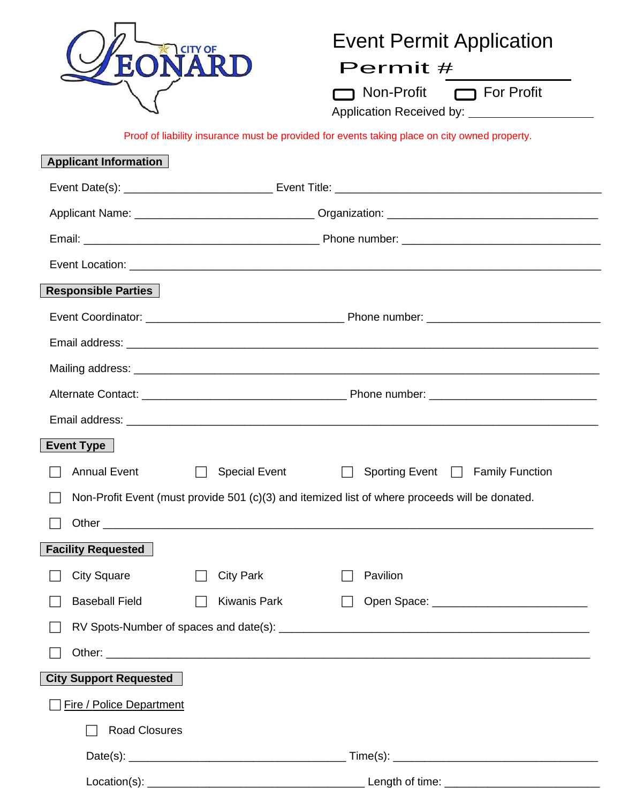

## Event Permit Application

Permit #

Non-Profit **I** For Profit

Application Received by:

Proof of liability insurance must be provided for events taking place on city owned property.

| <b>Applicant Information</b>    |                      |                                                                                                |  |  |
|---------------------------------|----------------------|------------------------------------------------------------------------------------------------|--|--|
|                                 |                      |                                                                                                |  |  |
|                                 |                      |                                                                                                |  |  |
|                                 |                      |                                                                                                |  |  |
|                                 |                      |                                                                                                |  |  |
| <b>Responsible Parties</b>      |                      |                                                                                                |  |  |
|                                 |                      |                                                                                                |  |  |
|                                 |                      |                                                                                                |  |  |
|                                 |                      |                                                                                                |  |  |
|                                 |                      |                                                                                                |  |  |
|                                 |                      |                                                                                                |  |  |
| <b>Event Type</b>               |                      |                                                                                                |  |  |
| <b>Annual Event</b>             | <b>Special Event</b> | Sporting Event $\Box$ Family Function                                                          |  |  |
|                                 |                      | Non-Profit Event (must provide 501 (c)(3) and itemized list of where proceeds will be donated. |  |  |
|                                 |                      |                                                                                                |  |  |
| <b>Facility Requested</b>       |                      |                                                                                                |  |  |
| <b>City Square</b>              | <b>City Park</b>     | Pavilion                                                                                       |  |  |
| <b>Baseball Field</b>           | <b>Kiwanis Park</b>  |                                                                                                |  |  |
|                                 |                      |                                                                                                |  |  |
|                                 |                      |                                                                                                |  |  |
| <b>City Support Requested</b>   |                      |                                                                                                |  |  |
| <b>Fire / Police Department</b> |                      |                                                                                                |  |  |
| <b>Road Closures</b>            |                      |                                                                                                |  |  |
|                                 |                      |                                                                                                |  |  |
|                                 |                      |                                                                                                |  |  |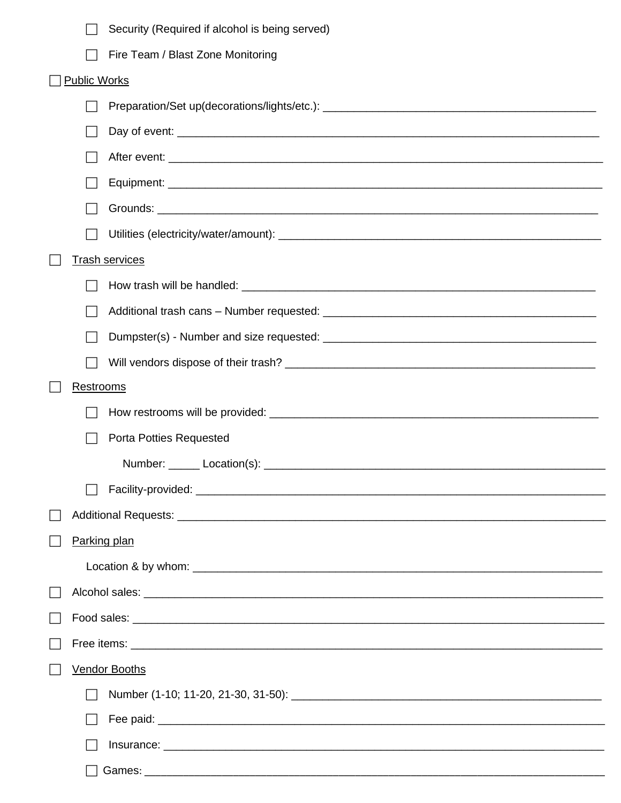|                     |                       | Security (Required if alcohol is being served) |  |
|---------------------|-----------------------|------------------------------------------------|--|
|                     |                       | Fire Team / Blast Zone Monitoring              |  |
| <b>Public Works</b> |                       |                                                |  |
|                     |                       |                                                |  |
|                     |                       |                                                |  |
|                     |                       |                                                |  |
|                     |                       |                                                |  |
|                     |                       |                                                |  |
|                     |                       |                                                |  |
|                     | <u>Trash services</u> |                                                |  |
|                     |                       |                                                |  |
|                     |                       |                                                |  |
|                     |                       |                                                |  |
|                     |                       |                                                |  |
|                     | <b>Restrooms</b>      |                                                |  |
|                     |                       |                                                |  |
|                     |                       | <b>Porta Potties Requested</b>                 |  |
|                     |                       |                                                |  |
|                     |                       |                                                |  |
|                     |                       |                                                |  |
|                     | Parking plan          |                                                |  |
|                     |                       |                                                |  |
|                     |                       |                                                |  |
|                     |                       |                                                |  |
|                     |                       |                                                |  |
|                     |                       | <b>Vendor Booths</b>                           |  |
|                     |                       |                                                |  |
|                     |                       |                                                |  |
|                     |                       |                                                |  |
|                     |                       | Games:                                         |  |